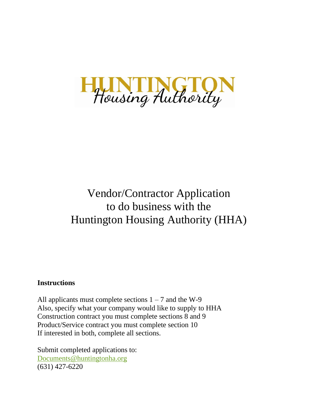

# Vendor/Contractor Application to do business with the Huntington Housing Authority (HHA)

# **Instructions**

All applicants must complete sections  $1 - 7$  and the W-9 Also, specify what your company would like to supply to HHA Construction contract you must complete sections 8 and 9 Product/Service contract you must complete section 10 If interested in both, complete all sections.

Submit completed applications to: [Documents@huntingtonha.org](mailto:Documents@huntingtonha.org) (631) 427-6220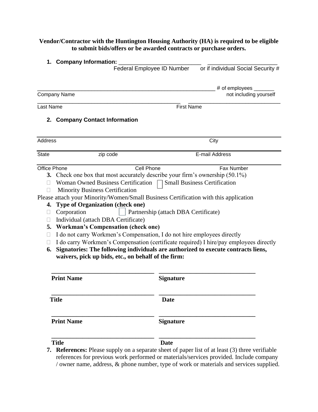## **Vendor/Contractor with the Huntington Housing Authority (HA) is required to be eligible to submit bids/offers or be awarded contracts or purchase orders.**

|                                                       | 1. Company Information:                                                                                                                                                                                                                                                                                                                                                                                                                                                                                                                                                                                                                                                                                                                         |                                      |                                    |
|-------------------------------------------------------|-------------------------------------------------------------------------------------------------------------------------------------------------------------------------------------------------------------------------------------------------------------------------------------------------------------------------------------------------------------------------------------------------------------------------------------------------------------------------------------------------------------------------------------------------------------------------------------------------------------------------------------------------------------------------------------------------------------------------------------------------|--------------------------------------|------------------------------------|
|                                                       |                                                                                                                                                                                                                                                                                                                                                                                                                                                                                                                                                                                                                                                                                                                                                 | Federal Employee ID Number           | or if individual Social Security # |
|                                                       |                                                                                                                                                                                                                                                                                                                                                                                                                                                                                                                                                                                                                                                                                                                                                 |                                      | # of employees $\_\_$              |
|                                                       | <b>Company Name</b>                                                                                                                                                                                                                                                                                                                                                                                                                                                                                                                                                                                                                                                                                                                             |                                      | not including yourself             |
| Last Name                                             |                                                                                                                                                                                                                                                                                                                                                                                                                                                                                                                                                                                                                                                                                                                                                 | <b>First Name</b>                    |                                    |
|                                                       | 2. Company Contact Information                                                                                                                                                                                                                                                                                                                                                                                                                                                                                                                                                                                                                                                                                                                  |                                      |                                    |
| <b>Address</b>                                        |                                                                                                                                                                                                                                                                                                                                                                                                                                                                                                                                                                                                                                                                                                                                                 |                                      | City                               |
| <b>State</b>                                          | zip code                                                                                                                                                                                                                                                                                                                                                                                                                                                                                                                                                                                                                                                                                                                                        |                                      | E-mail Address                     |
| $\Box$<br>⊔<br>$\Box$<br>$\mathbf{L}$<br>$\Box$<br>6. | 3. Check one box that most accurately describe your firm's ownership (50.1%)<br>Woman Owned Business Certification $\Box$ Small Business Certification<br><b>Minority Business Certification</b><br>Please attach your Minority/Women/Small Business Certification with this application<br>4. Type of Organization (check one)<br>Corporation<br>Individual (attach DBA Certificate)<br>5. Workman's Compensation (check one)<br>I do not carry Workmen's Compensation, I do not hire employees directly<br>I do carry Workmen's Compensation (certificate required) I hire/pay employees directly<br>Signatories: The following individuals are authorized to execute contracts liens,<br>waivers, pick up bids, etc., on behalf of the firm: | Partnership (attach DBA Certificate) |                                    |
|                                                       | <b>Print Name</b>                                                                                                                                                                                                                                                                                                                                                                                                                                                                                                                                                                                                                                                                                                                               | <b>Signature</b>                     |                                    |
|                                                       | <b>Title</b>                                                                                                                                                                                                                                                                                                                                                                                                                                                                                                                                                                                                                                                                                                                                    | <b>Date</b>                          |                                    |
|                                                       | <b>Print Name</b>                                                                                                                                                                                                                                                                                                                                                                                                                                                                                                                                                                                                                                                                                                                               | <b>Signature</b>                     |                                    |
|                                                       | <b>Title</b><br><b>7. References:</b> Please supply on a separate sheet of paper list of at least (3) three verifiable<br>references for previous work performed or materials/services provided. Include company                                                                                                                                                                                                                                                                                                                                                                                                                                                                                                                                | <b>Date</b>                          |                                    |

/ owner name, address, & phone number, type of work or materials and services supplied.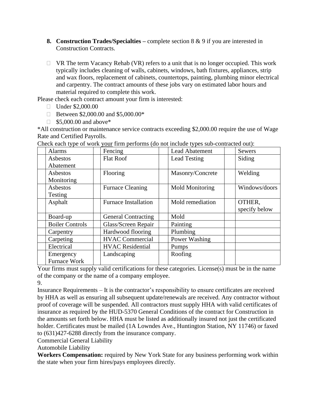- **8. Construction Trades/Specialties –** complete section 8 & 9 if you are interested in Construction Contracts.
- $\Box$  VR The term Vacancy Rehab (VR) refers to a unit that is no longer occupied. This work typically includes cleaning of walls, cabinets, windows, bath fixtures, appliances, strip and wax floors, replacement of cabinets, countertops, painting, plumbing minor electrical and carpentry. The contract amounts of these jobs vary on estimated labor hours and material required to complete this work.

Please check each contract amount your firm is interested:

- □ Under \$2,000.00
- □ Between \$2,000.00 and \$5,000.00\*
- $\Box$  \$5,000.00 and above\*

\*All construction or maintenance service contracts exceeding \$2,000.00 require the use of Wage Rate and Certified Payrolls.

| Fencing<br>Alarms            |                             | <b>Lead Abatement</b>  | <b>Sewers</b> |
|------------------------------|-----------------------------|------------------------|---------------|
| <b>Flat Roof</b><br>Asbestos |                             | <b>Lead Testing</b>    | Siding        |
| Abatement                    |                             |                        |               |
| Asbestos                     | Flooring                    | Masonry/Concrete       | Welding       |
| Monitoring                   |                             |                        |               |
| Asbestos                     | <b>Furnace Cleaning</b>     | <b>Mold Monitoring</b> | Windows/doors |
| Testing                      |                             |                        |               |
| Asphalt                      | <b>Furnace Installation</b> | Mold remediation       | OTHER,        |
|                              |                             |                        | specify below |
| Board-up                     | <b>General Contracting</b>  | Mold                   |               |
| <b>Boiler Controls</b>       | Glass/Screen Repair         | Painting               |               |
| Carpentry                    | Hardwood flooring           | Plumbing               |               |
| Carpeting                    | <b>HVAC Commercial</b>      | Power Washing          |               |
| Electrical                   | <b>HVAC</b> Residential     | Pumps                  |               |
| Emergency                    | Landscaping                 | Roofing                |               |
| <b>Furnace Work</b>          |                             |                        |               |

Check each type of work your firm performs (do not include types sub-contracted out):

Your firms must supply valid certifications for these categories. License(s) must be in the name of the company or the name of a company employee.

9.

Insurance Requirements – It is the contractor's responsibility to ensure certificates are received by HHA as well as ensuring all subsequent update/renewals are received. Any contractor without proof of coverage will be suspended. All contractors must supply HHA with valid certificates of insurance as required by the HUD-5370 General Conditions of the contract for Construction in the amounts set forth below. HHA must be listed as additionally insured not just the certificated holder. Certificates must be mailed (1A Lowndes Ave., Huntington Station, NY 11746) or faxed to (631)427-6288 directly from the insurance company.

Commercial General Liability

Automobile Liability

**Workers Compensation:** required by New York State for any business performing work within the state when your firm hires/pays employees directly.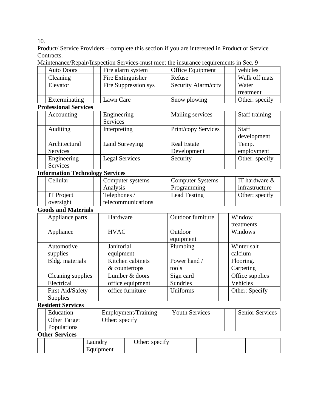10.

Product/ Service Providers – complete this section if you are interested in Product or Service Contracts.

| Manuchance/Repail/Inspection Services-must meet the misurance requirements in Sec. 7 |  |                      |        |                         |               |                |  |  |  |
|--------------------------------------------------------------------------------------|--|----------------------|--------|-------------------------|---------------|----------------|--|--|--|
| <b>Auto Doors</b>                                                                    |  | Fire alarm system    |        | <b>Office Equipment</b> |               | vehicles       |  |  |  |
| Fire Extinguisher<br>Cleaning                                                        |  |                      | Refuse |                         | Walk off mats |                |  |  |  |
| Elevator                                                                             |  | Fire Suppression sys |        | Security Alarm/cctv     |               | Water          |  |  |  |
|                                                                                      |  |                      |        |                         |               | treatment      |  |  |  |
| Exterminating                                                                        |  | Lawn Care            |        | Snow plowing            |               | Other: specify |  |  |  |

Maintenance/Repair/Inspection Services-must meet the insurance requirements in Sec. 9

#### **Professional Services**

| т готезяонат эст тесэ |                       |  |                     |  |                |  |  |  |  |
|-----------------------|-----------------------|--|---------------------|--|----------------|--|--|--|--|
| Accounting            | Engineering           |  | Mailing services    |  | Staff training |  |  |  |  |
|                       | Services              |  |                     |  |                |  |  |  |  |
| Auditing              | Interpreting          |  | Print/copy Services |  | <b>Staff</b>   |  |  |  |  |
|                       |                       |  |                     |  | development    |  |  |  |  |
| Architectural         | <b>Land Surveying</b> |  | <b>Real Estate</b>  |  | Temp.          |  |  |  |  |
| Services              |                       |  | Development         |  | employment     |  |  |  |  |
| Engineering           | <b>Legal Services</b> |  | Security            |  | Other: specify |  |  |  |  |
| Services              |                       |  |                     |  |                |  |  |  |  |

### **Information Technology Services**

| Cellular          | Computer systems   | <b>Computer Systems</b> | IT hardware $\&$ |
|-------------------|--------------------|-------------------------|------------------|
|                   | Analysis           | Programming             | infrastructure   |
| <b>IT</b> Project | Telephones /       | <b>Lead Testing</b>     | Other: specify   |
| oversight         | telecommunications |                         |                  |

#### **Goods and Materials**

| Appliance parts   | Hardware         | <b>Outdoor furniture</b> | Window          |
|-------------------|------------------|--------------------------|-----------------|
|                   |                  |                          | treatments      |
| Appliance         | <b>HVAC</b>      | Outdoor                  | Windows         |
|                   |                  | equipment                |                 |
| Automotive        | Janitorial       | Plumbing                 | Winter salt     |
| supplies          | equipment        |                          | calcium         |
| Bldg. materials   | Kitchen cabinets | Power hand /             | Flooring.       |
|                   | & countertops    | tools                    | Carpeting       |
| Cleaning supplies | Lumber & doors   | Sign card                | Office supplies |
| Electrical        | office equipment | <b>Sundries</b>          | Vehicles        |
| First Aid/Safety  | office furniture | Uniforms                 | Other: Specify  |
| Supplies          |                  |                          |                 |

# **Resident Services**

| Education           | Employment/Training | <b>Youth Services</b> | <b>Senior Services</b> |
|---------------------|---------------------|-----------------------|------------------------|
| <b>Other Target</b> | Other: specify      |                       |                        |
| <b>Populations</b>  |                     |                       |                        |

#### **Other Services**

|  | aundrv    | $\cdot$<br>Other: specify |  |  |
|--|-----------|---------------------------|--|--|
|  | Equipment |                           |  |  |